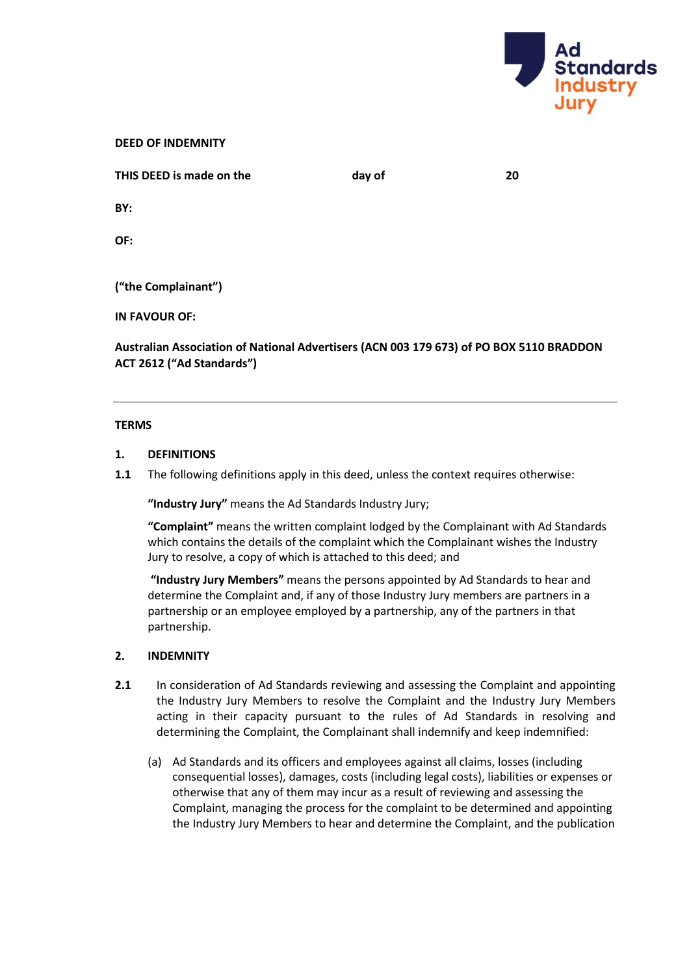

| <b>DEED OF INDEMNITY</b> |  |
|--------------------------|--|
|--------------------------|--|

| THIS DEED is made on the | day of | 20 |
|--------------------------|--------|----|
| BY:                      |        |    |
| OF:                      |        |    |
| ("the Complainant")      |        |    |
|                          |        |    |
| <b>IN FAVOUR OF:</b>     |        |    |
|                          |        |    |

**Australian Association of National Advertisers (ACN 003 179 673) of PO BOX 5110 BRADDON ACT 2612 ("Ad Standards")**

## **TERMS**

## **1. DEFINITIONS**

**1.1** The following definitions apply in this deed, unless the context requires otherwise:

**"Industry Jury"** means the Ad Standards Industry Jury;

**"Complaint"** means the written complaint lodged by the Complainant with Ad Standards which contains the details of the complaint which the Complainant wishes the Industry Jury to resolve, a copy of which is attached to this deed; and

**"Industry Jury Members"** means the persons appointed by Ad Standards to hear and determine the Complaint and, if any of those Industry Jury members are partners in a partnership or an employee employed by a partnership, any of the partners in that partnership.

# **2. INDEMNITY**

- **2.1** In consideration of Ad Standards reviewing and assessing the Complaint and appointing the Industry Jury Members to resolve the Complaint and the Industry Jury Members acting in their capacity pursuant to the rules of Ad Standards in resolving and determining the Complaint, the Complainant shall indemnify and keep indemnified:
	- (a) Ad Standards and its officers and employees against all claims, losses (including consequential losses), damages, costs (including legal costs), liabilities or expenses or otherwise that any of them may incur as a result of reviewing and assessing the Complaint, managing the process for the complaint to be determined and appointing the Industry Jury Members to hear and determine the Complaint, and the publication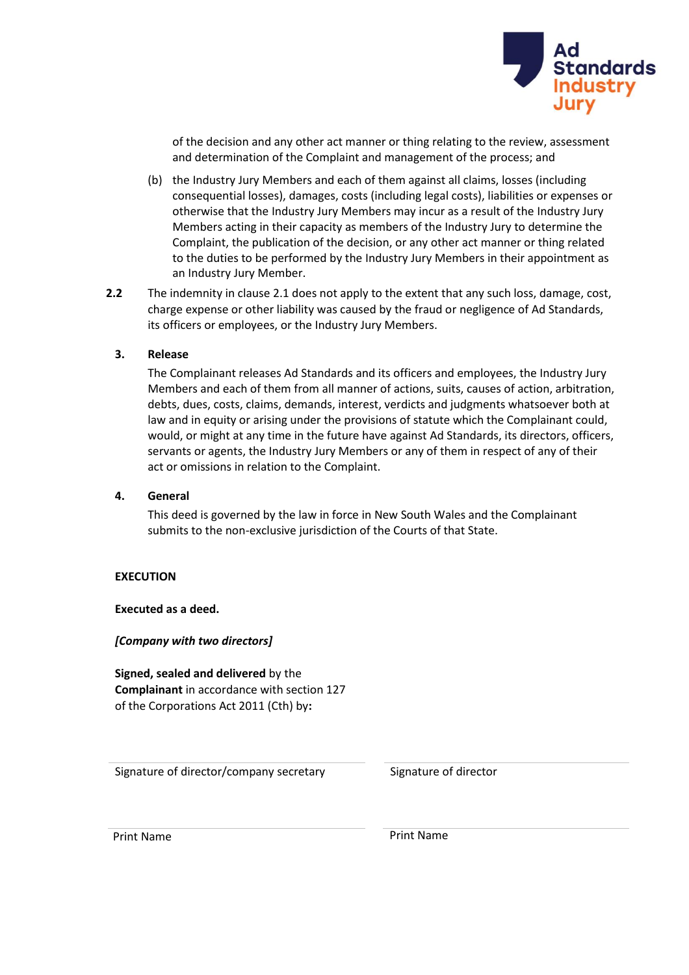

of the decision and any other act manner or thing relating to the review, assessment and determination of the Complaint and management of the process; and

- (b) the Industry Jury Members and each of them against all claims, losses (including consequential losses), damages, costs (including legal costs), liabilities or expenses or otherwise that the Industry Jury Members may incur as a result of the Industry Jury Members acting in their capacity as members of the Industry Jury to determine the Complaint, the publication of the decision, or any other act manner or thing related to the duties to be performed by the Industry Jury Members in their appointment as an Industry Jury Member.
- **2.2** The indemnity in clause 2.1 does not apply to the extent that any such loss, damage, cost, charge expense or other liability was caused by the fraud or negligence of Ad Standards, its officers or employees, or the Industry Jury Members.

# **3. Release**

The Complainant releases Ad Standards and its officers and employees, the Industry Jury Members and each of them from all manner of actions, suits, causes of action, arbitration, debts, dues, costs, claims, demands, interest, verdicts and judgments whatsoever both at law and in equity or arising under the provisions of statute which the Complainant could, would, or might at any time in the future have against Ad Standards, its directors, officers, servants or agents, the Industry Jury Members or any of them in respect of any of their act or omissions in relation to the Complaint.

# **4. General**

This deed is governed by the law in force in New South Wales and the Complainant submits to the non-exclusive jurisdiction of the Courts of that State.

# **EXECUTION**

**Executed as a deed.**

*[Company with two directors]*

**Signed, sealed and delivered** by the **Complainant** in accordance with section 127 of the Corporations Act 2011 (Cth) by**:**

Signature of director/company secretary Signature of director

Print Name **Print Name**